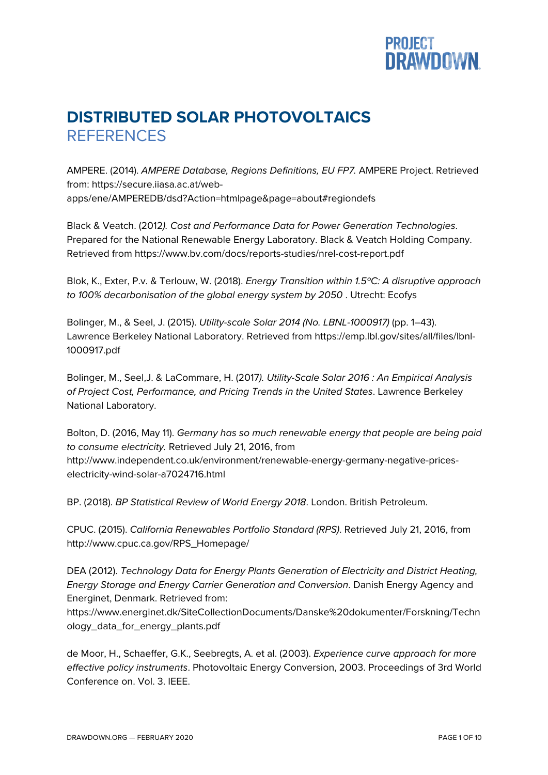

## **DISTRIBUTED SOLAR PHOTOVOLTAICS REFERENCES**

AMPERE. (2014). *AMPERE Database, Regions Definitions, EU FP7.* AMPERE Project. Retrieved from: https://secure.iiasa.ac.at/webapps/ene/AMPEREDB/dsd?Action=htmlpage&page=about#regiondefs

Black & Veatch. (2012*). Cost and Performance Data for Power Generation Technologies*. Prepared for the National Renewable Energy Laboratory. Black & Veatch Holding Company. Retrieved from https://www.bv.com/docs/reports-studies/nrel-cost-report.pdf

Blok, K., Exter, P.v. & Terlouw, W. (2018). *Energy Transition within 1.5ºC: A disruptive approach to 100% decarbonisation of the global energy system by 2050* . Utrecht: Ecofys

Bolinger, M., & Seel, J. (2015). *Utility-scale Solar 2014 (No. LBNL-1000917)* (pp. 1–43). Lawrence Berkeley National Laboratory. Retrieved from https://emp.lbl.gov/sites/all/files/lbnl-1000917.pdf

Bolinger, M., Seel,J. & LaCommare, H. (2017*). Utility-Scale Solar 2016 : An Empirical Analysis of Project Cost, Performance, and Pricing Trends in the United States*. Lawrence Berkeley National Laboratory.

Bolton, D. (2016, May 11). *Germany has so much renewable energy that people are being paid to consume electricity.* Retrieved July 21, 2016, from http://www.independent.co.uk/environment/renewable-energy-germany-negative-priceselectricity-wind-solar-a7024716.html

BP. (2018). *BP Statistical Review of World Energy 2018*. London. British Petroleum.

CPUC. (2015). *California Renewables Portfolio Standard (RPS)*. Retrieved July 21, 2016, from http://www.cpuc.ca.gov/RPS\_Homepage/

DEA (2012). *Technology Data for Energy Plants Generation of Electricity and District Heating, Energy Storage and Energy Carrier Generation and Conversion*. Danish Energy Agency and Energinet, Denmark. Retrieved from:

https://www.energinet.dk/SiteCollectionDocuments/Danske%20dokumenter/Forskning/Techn ology\_data\_for\_energy\_plants.pdf

de Moor, H., Schaeffer, G.K., Seebregts, A. et al. (2003). *Experience curve approach for more effective policy instruments*. Photovoltaic Energy Conversion, 2003. Proceedings of 3rd World Conference on. Vol. 3. IEEE.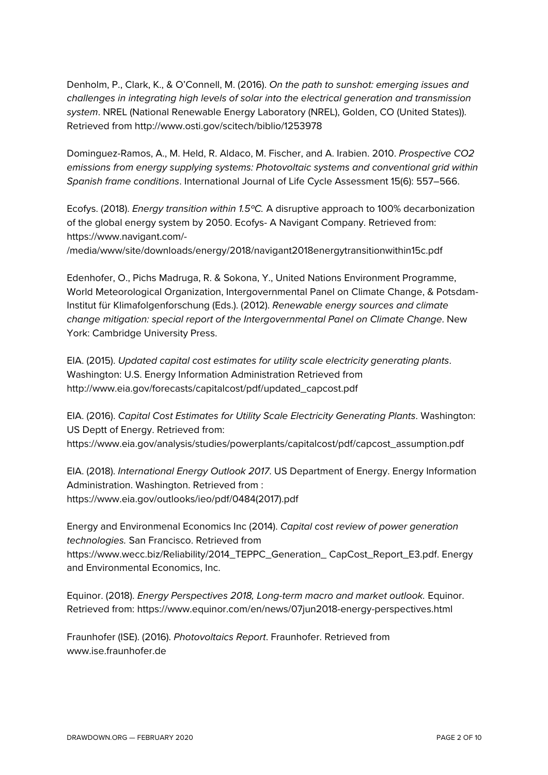Denholm, P., Clark, K., & O'Connell, M. (2016). *On the path to sunshot: emerging issues and challenges in integrating high levels of solar into the electrical generation and transmission system*. NREL (National Renewable Energy Laboratory (NREL), Golden, CO (United States)). Retrieved from http://www.osti.gov/scitech/biblio/1253978

Dominguez-Ramos, A., M. Held, R. Aldaco, M. Fischer, and A. Irabien. 2010. *Prospective CO2 emissions from energy supplying systems: Photovoltaic systems and conventional grid within Spanish frame conditions*. International Journal of Life Cycle Assessment 15(6): 557–566.

Ecofys. (2018). *Energy transition within 1.5ºC.* A disruptive approach to 100% decarbonization of the global energy system by 2050. Ecofys- A Navigant Company. Retrieved from: https://www.navigant.com/-

/media/www/site/downloads/energy/2018/navigant2018energytransitionwithin15c.pdf

Edenhofer, O., Pichs Madruga, R. & Sokona, Y., United Nations Environment Programme, World Meteorological Organization, Intergovernmental Panel on Climate Change, & Potsdam-Institut für Klimafolgenforschung (Eds.). (2012). *Renewable energy sources and climate change mitigation: special report of the Intergovernmental Panel on Climate Change*. New York: Cambridge University Press.

EIA. (2015). *Updated capital cost estimates for utility scale electricity generating plants*. Washington: U.S. Energy Information Administration Retrieved from http://www.eia.gov/forecasts/capitalcost/pdf/updated\_capcost.pdf

EIA. (2016). *Capital Cost Estimates for Utility Scale Electricity Generating Plants*. Washington: US Deptt of Energy. Retrieved from: https://www.eia.gov/analysis/studies/powerplants/capitalcost/pdf/capcost\_assumption.pdf

EIA. (2018). *International Energy Outlook 2017*. US Department of Energy. Energy Information Administration. Washington. Retrieved from : https://www.eia.gov/outlooks/ieo/pdf/0484(2017).pdf

Energy and Environmenal Economics Inc (2014). *Capital cost review of power generation technologies.* San Francisco. Retrieved from https://www.wecc.biz/Reliability/2014\_TEPPC\_Generation\_ CapCost\_Report\_E3.pdf. Energy and Environmental Economics, Inc.

Equinor. (2018). *Energy Perspectives 2018, Long-term macro and market outlook.* Equinor. Retrieved from: https://www.equinor.com/en/news/07jun2018-energy-perspectives.html

Fraunhofer (ISE). (2016). *Photovoltaics Report*. Fraunhofer. Retrieved from www.ise.fraunhofer.de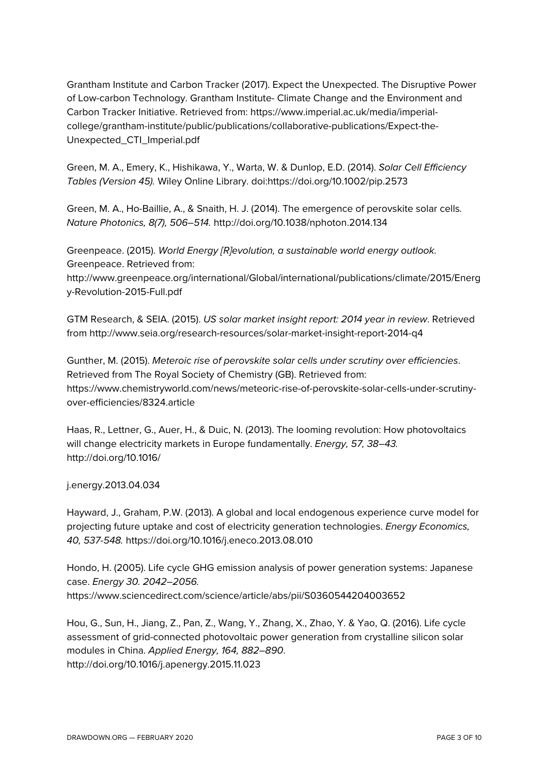Grantham Institute and Carbon Tracker (2017). Expect the Unexpected. The Disruptive Power of Low-carbon Technology. Grantham Institute- Climate Change and the Environment and Carbon Tracker Initiative. Retrieved from: https://www.imperial.ac.uk/media/imperialcollege/grantham-institute/public/publications/collaborative-publications/Expect-the-Unexpected\_CTI\_Imperial.pdf

Green, M. A., Emery, K., Hishikawa, Y., Warta, W. & Dunlop, E.D. (2014). *Solar Cell Efficiency Tables (Version 45).* Wiley Online Library. doi:https://doi.org/10.1002/pip.2573

Green, M. A., Ho-Baillie, A., & Snaith, H. J. (2014). The emergence of perovskite solar cells*. Nature Photonics, 8(7), 506–514.* http://doi.org/10.1038/nphoton.2014.134

Greenpeace. (2015). *World Energy [R]evolution, a sustainable world energy outlook.* Greenpeace. Retrieved from: http://www.greenpeace.org/international/Global/international/publications/climate/2015/Energ y-Revolution-2015-Full.pdf

GTM Research, & SEIA. (2015). *US solar market insight report: 2014 year in review*. Retrieved from http://www.seia.org/research-resources/solar-market-insight-report-2014-q4

Gunther, M. (2015). *Meteroic rise of perovskite solar cells under scrutiny over efficiencies*. Retrieved from The Royal Society of Chemistry (GB). Retrieved from: https://www.chemistryworld.com/news/meteoric-rise-of-perovskite-solar-cells-under-scrutinyover-efficiencies/8324.article

Haas, R., Lettner, G., Auer, H., & Duic, N. (2013). The looming revolution: How photovoltaics will change electricity markets in Europe fundamentally. *Energy, 57, 38–43.* http://doi.org/10.1016/

j.energy.2013.04.034

Hayward, J., Graham, P.W. (2013). A global and local endogenous experience curve model for projecting future uptake and cost of electricity generation technologies. *Energy Economics, 40, 537-548.* https://doi.org/10.1016/j.eneco.2013.08.010

Hondo, H. (2005). Life cycle GHG emission analysis of power generation systems: Japanese case. *Energy 30. 2042–2056.* https://www.sciencedirect.com/science/article/abs/pii/S0360544204003652

Hou, G., Sun, H., Jiang, Z., Pan, Z., Wang, Y., Zhang, X., Zhao, Y. & Yao, Q. (2016). Life cycle assessment of grid-connected photovoltaic power generation from crystalline silicon solar modules in China. *Applied Energy, 164, 882–890*. http://doi.org/10.1016/j.apenergy.2015.11.023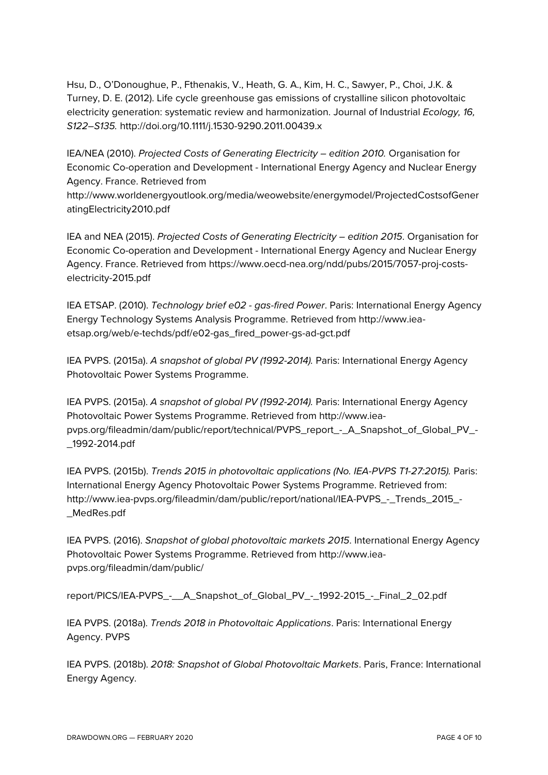Hsu, D., O'Donoughue, P., Fthenakis, V., Heath, G. A., Kim, H. C., Sawyer, P., Choi, J.K. & Turney, D. E. (2012). Life cycle greenhouse gas emissions of crystalline silicon photovoltaic electricity generation: systematic review and harmonization. Journal of Industrial *Ecology, 16, S122–S135.* http://doi.org/10.1111/j.1530-9290.2011.00439.x

IEA/NEA (2010). *Projected Costs of Generating Electricity – edition 2010.* Organisation for Economic Co-operation and Development - International Energy Agency and Nuclear Energy Agency. France. Retrieved from

http://www.worldenergyoutlook.org/media/weowebsite/energymodel/ProjectedCostsofGener atingElectricity2010.pdf

IEA and NEA (2015). *Projected Costs of Generating Electricity – edition 2015*. Organisation for Economic Co-operation and Development - International Energy Agency and Nuclear Energy Agency. France. Retrieved from https://www.oecd-nea.org/ndd/pubs/2015/7057-proj-costselectricity-2015.pdf

IEA ETSAP. (2010). *Technology brief e02 - gas-fired Power*. Paris: International Energy Agency Energy Technology Systems Analysis Programme. Retrieved from http://www.ieaetsap.org/web/e-techds/pdf/e02-gas\_fired\_power-gs-ad-gct.pdf

IEA PVPS. (2015a). *A snapshot of global PV (1992-2014).* Paris: International Energy Agency Photovoltaic Power Systems Programme.

IEA PVPS. (2015a). *A snapshot of global PV (1992-2014).* Paris: International Energy Agency Photovoltaic Power Systems Programme. Retrieved from http://www.ieapvps.org/fileadmin/dam/public/report/technical/PVPS\_report\_-\_A\_Snapshot\_of\_Global\_PV\_- \_1992-2014.pdf

IEA PVPS. (2015b). *Trends 2015 in photovoltaic applications (No. IEA-PVPS T1-27:2015).* Paris: International Energy Agency Photovoltaic Power Systems Programme. Retrieved from: http://www.iea-pvps.org/fileadmin/dam/public/report/national/IEA-PVPS\_-\_Trends\_2015\_- \_MedRes.pdf

IEA PVPS. (2016). *Snapshot of global photovoltaic markets 2015*. International Energy Agency Photovoltaic Power Systems Programme. Retrieved from http://www.ieapvps.org/fileadmin/dam/public/

report/PICS/IEA-PVPS\_-\_\_A\_Snapshot\_of\_Global\_PV\_-\_1992-2015\_-\_Final\_2\_02.pdf

IEA PVPS. (2018a). *Trends 2018 in Photovoltaic Applications*. Paris: International Energy Agency. PVPS

IEA PVPS. (2018b). *2018: Snapshot of Global Photovoltaic Markets*. Paris, France: International Energy Agency.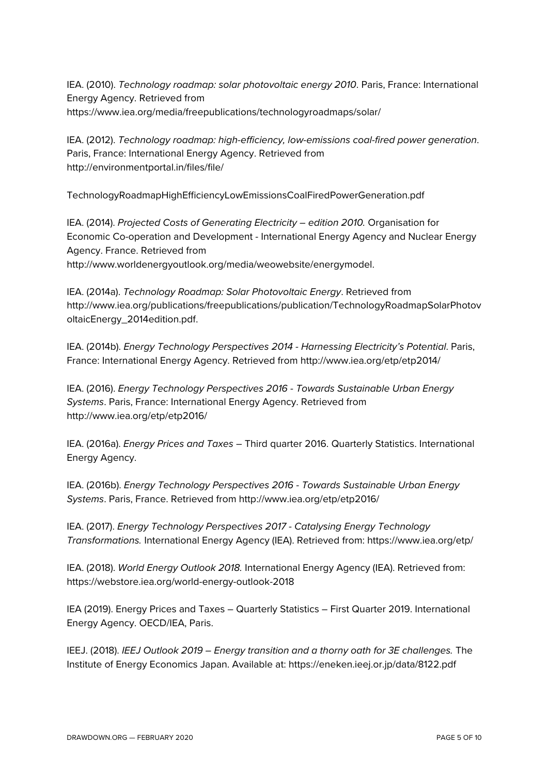IEA. (2010). *Technology roadmap: solar photovoltaic energy 2010*. Paris, France: International Energy Agency. Retrieved from https://www.iea.org/media/freepublications/technologyroadmaps/solar/

IEA. (2012). *Technology roadmap: high-efficiency, low-emissions coal-fired power generation*. Paris, France: International Energy Agency. Retrieved from http://environmentportal.in/files/file/

TechnologyRoadmapHighEfficiencyLowEmissionsCoalFiredPowerGeneration.pdf

IEA. (2014). *Projected Costs of Generating Electricity – edition 2010.* Organisation for Economic Co-operation and Development - International Energy Agency and Nuclear Energy Agency. France. Retrieved from

http://www.worldenergyoutlook.org/media/weowebsite/energymodel.

IEA. (2014a). *Technology Roadmap: Solar Photovoltaic Energy*. Retrieved from http://www.iea.org/publications/freepublications/publication/TechnologyRoadmapSolarPhotov oltaicEnergy\_2014edition.pdf.

IEA. (2014b). *Energy Technology Perspectives 2014 - Harnessing Electricity's Potential*. Paris, France: International Energy Agency. Retrieved from http://www.iea.org/etp/etp2014/

IEA. (2016). *Energy Technology Perspectives 2016 - Towards Sustainable Urban Energy Systems*. Paris, France: International Energy Agency. Retrieved from http://www.iea.org/etp/etp2016/

IEA. (2016a). *Energy Prices and Taxes* – Third quarter 2016. Quarterly Statistics. International Energy Agency.

IEA. (2016b). *Energy Technology Perspectives 2016 - Towards Sustainable Urban Energy Systems*. Paris, France. Retrieved from http://www.iea.org/etp/etp2016/

IEA. (2017). *Energy Technology Perspectives 2017 - Catalysing Energy Technology Transformations.* International Energy Agency (IEA). Retrieved from: https://www.iea.org/etp/

IEA. (2018). *World Energy Outlook 2018.* International Energy Agency (IEA). Retrieved from: https://webstore.iea.org/world-energy-outlook-2018

IEA (2019). Energy Prices and Taxes – Quarterly Statistics – First Quarter 2019. International Energy Agency. OECD/IEA, Paris.

IEEJ. (2018). *IEEJ Outlook 2019 – Energy transition and a thorny oath for 3E challenges.* The Institute of Energy Economics Japan. Available at: https://eneken.ieej.or.jp/data/8122.pdf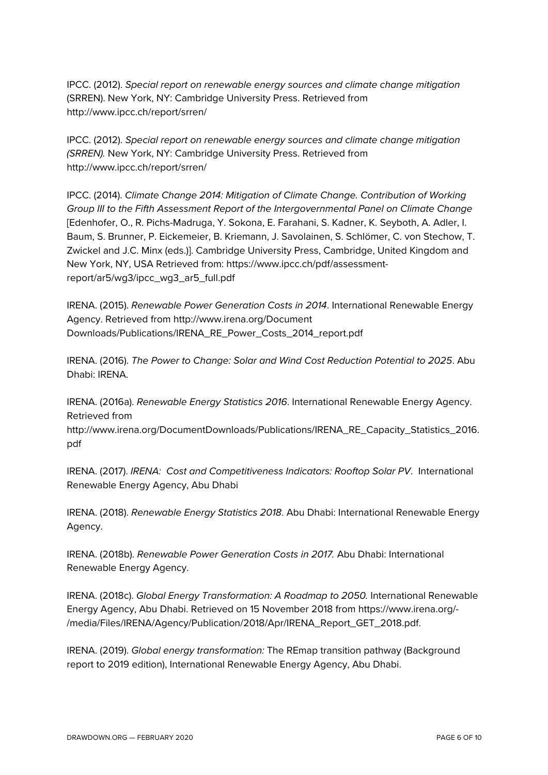IPCC. (2012). *Special report on renewable energy sources and climate change mitigation* (SRREN). New York, NY: Cambridge University Press. Retrieved from http://www.ipcc.ch/report/srren/

IPCC. (2012). *Special report on renewable energy sources and climate change mitigation (SRREN).* New York, NY: Cambridge University Press. Retrieved from http://www.ipcc.ch/report/srren/

IPCC. (2014). *Climate Change 2014: Mitigation of Climate Change. Contribution of Working Group III to the Fifth Assessment Report of the Intergovernmental Panel on Climate Change* [Edenhofer, O., R. Pichs-Madruga, Y. Sokona, E. Farahani, S. Kadner, K. Seyboth, A. Adler, I. Baum, S. Brunner, P. Eickemeier, B. Kriemann, J. Savolainen, S. Schlömer, C. von Stechow, T. Zwickel and J.C. Minx (eds.)]. Cambridge University Press, Cambridge, United Kingdom and New York, NY, USA Retrieved from: https://www.ipcc.ch/pdf/assessmentreport/ar5/wg3/ipcc\_wg3\_ar5\_full.pdf

IRENA. (2015). *Renewable Power Generation Costs in 2014*. International Renewable Energy Agency. Retrieved from http://www.irena.org/Document Downloads/Publications/IRENA\_RE\_Power\_Costs\_2014\_report.pdf

IRENA. (2016). *The Power to Change: Solar and Wind Cost Reduction Potential to 2025*. Abu Dhabi: IRENA.

IRENA. (2016a). *Renewable Energy Statistics 2016*. International Renewable Energy Agency. Retrieved from

http://www.irena.org/DocumentDownloads/Publications/IRENA\_RE\_Capacity\_Statistics\_2016. pdf

IRENA. (2017). *IRENA: Cost and Competitiveness Indicators: Rooftop Solar PV*. International Renewable Energy Agency, Abu Dhabi

IRENA. (2018). *Renewable Energy Statistics 2018*. Abu Dhabi: International Renewable Energy Agency.

IRENA. (2018b). *Renewable Power Generation Costs in 2017.* Abu Dhabi: International Renewable Energy Agency.

IRENA. (2018c). *Global Energy Transformation: A Roadmap to 2050.* International Renewable Energy Agency, Abu Dhabi. Retrieved on 15 November 2018 from https://www.irena.org/- /media/Files/IRENA/Agency/Publication/2018/Apr/IRENA\_Report\_GET\_2018.pdf.

IRENA. (2019). *Global energy transformation:* The REmap transition pathway (Background report to 2019 edition), International Renewable Energy Agency, Abu Dhabi.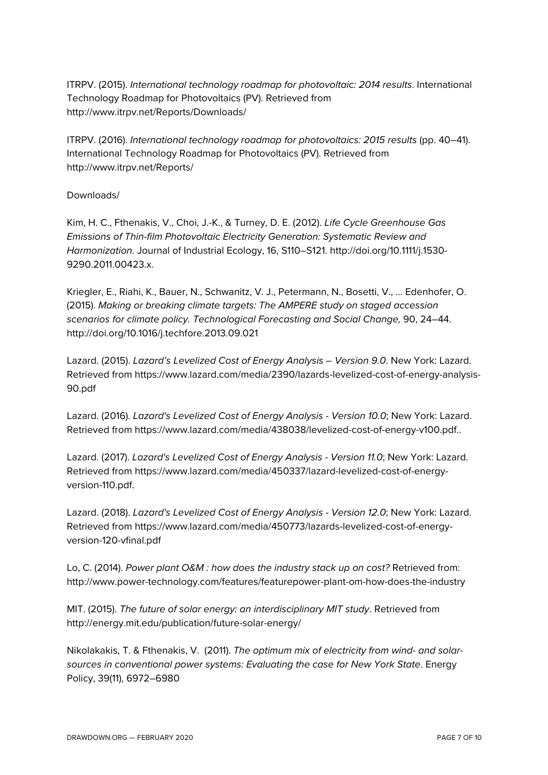ITRPV. (2015). *International technology roadmap for photovoltaic: 2014 results*. International Technology Roadmap for Photovoltaics (PV). Retrieved from http://www.itrpv.net/Reports/Downloads/

ITRPV. (2016). *International technology roadmap for photovoltaics: 2015 results* (pp. 40–41). International Technology Roadmap for Photovoltaics (PV). Retrieved from http://www.itrpv.net/Reports/

## Downloads/

Kim, H. C., Fthenakis, V., Choi, J.-K., & Turney, D. E. (2012). *Life Cycle Greenhouse Gas Emissions of Thin-film Photovoltaic Electricity Generation: Systematic Review and Harmonization*. Journal of Industrial Ecology, 16, S110–S121. http://doi.org/10.1111/j.1530- 9290.2011.00423.x.

Kriegler, E., Riahi, K., Bauer, N., Schwanitz, V. J., Petermann, N., Bosetti, V., … Edenhofer, O. (2015). *Making or breaking climate targets: The AMPERE study on staged accession scenarios for climate policy. Technological Forecasting and Social Change,* 90, 24–44. http://doi.org/10.1016/j.techfore.2013.09.021

Lazard. (2015). *Lazard's Levelized Cost of Energy Analysis – Version 9.0*. New York: Lazard. Retrieved from https://www.lazard.com/media/2390/lazards-levelized-cost-of-energy-analysis-90.pdf

Lazard. (2016). *Lazard's Levelized Cost of Energy Analysis - Version 10.0*; New York: Lazard. Retrieved from https://www.lazard.com/media/438038/levelized-cost-of-energy-v100.pdf..

Lazard. (2017). *Lazard's Levelized Cost of Energy Analysis - Version 11.0*; New York: Lazard. Retrieved from https://www.lazard.com/media/450337/lazard-levelized-cost-of-energyversion-110.pdf.

Lazard. (2018). *Lazard's Levelized Cost of Energy Analysis - Version 12.0*; New York: Lazard. Retrieved from https://www.lazard.com/media/450773/lazards-levelized-cost-of-energyversion-120-vfinal.pdf

Lo, C. (2014). *Power plant O&M : how does the industry stack up on cost?* Retrieved from: http://www.power-technology.com/features/featurepower-plant-om-how-does-the-industry

MIT. (2015). *The future of solar energy: an interdisciplinary MIT study*. Retrieved from http://energy.mit.edu/publication/future-solar-energy/

Nikolakakis, T. & Fthenakis, V. (2011). *The optimum mix of electricity from wind- and solarsources in conventional power systems: Evaluating the case for New York State*. Energy Policy, 39(11), 6972–6980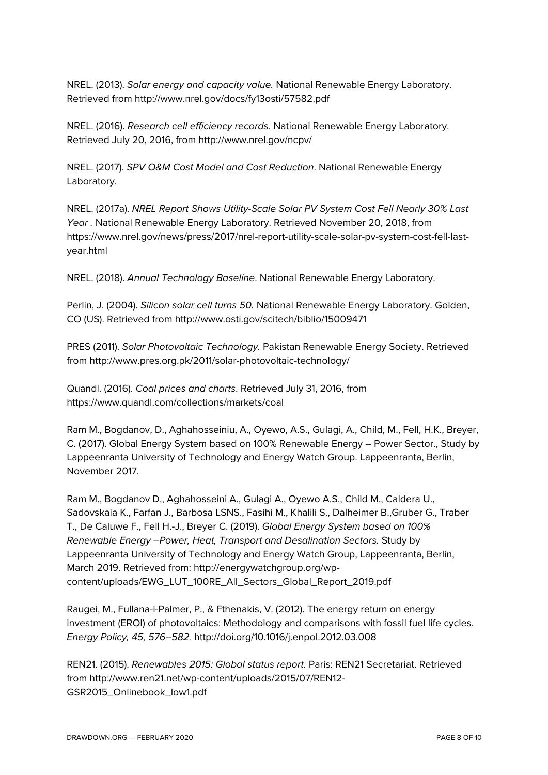NREL. (2013). *Solar energy and capacity value.* National Renewable Energy Laboratory. Retrieved from http://www.nrel.gov/docs/fy13osti/57582.pdf

NREL. (2016). *Research cell efficiency records*. National Renewable Energy Laboratory. Retrieved July 20, 2016, from http://www.nrel.gov/ncpv/

NREL. (2017). *SPV O&M Cost Model and Cost Reduction*. National Renewable Energy Laboratory.

NREL. (2017a). *NREL Report Shows Utility-Scale Solar PV System Cost Fell Nearly 30% Last Year .* National Renewable Energy Laboratory. Retrieved November 20, 2018, from https://www.nrel.gov/news/press/2017/nrel-report-utility-scale-solar-pv-system-cost-fell-lastyear.html

NREL. (2018). *Annual Technology Baseline*. National Renewable Energy Laboratory.

Perlin, J. (2004). *Silicon solar cell turns 50.* National Renewable Energy Laboratory. Golden, CO (US). Retrieved from http://www.osti.gov/scitech/biblio/15009471

PRES (2011). *Solar Photovoltaic Technology.* Pakistan Renewable Energy Society. Retrieved from http://www.pres.org.pk/2011/solar-photovoltaic-technology/

Quandl. (2016). *Coal prices and charts*. Retrieved July 31, 2016, from https://www.quandl.com/collections/markets/coal

Ram M., Bogdanov, D., Aghahosseiniu, A., Oyewo, A.S., Gulagi, A., Child, M., Fell, H.K., Breyer, C. (2017). Global Energy System based on 100% Renewable Energy – Power Sector., Study by Lappeenranta University of Technology and Energy Watch Group. Lappeenranta, Berlin, November 2017.

Ram M., Bogdanov D., Aghahosseini A., Gulagi A., Oyewo A.S., Child M., Caldera U., Sadovskaia K., Farfan J., Barbosa LSNS., Fasihi M., Khalili S., Dalheimer B.,Gruber G., Traber T., De Caluwe F., Fell H.-J., Breyer C. (2019). *Global Energy System based on 100% Renewable Energy –Power, Heat, Transport and Desalination Sectors.* Study by Lappeenranta University of Technology and Energy Watch Group, Lappeenranta, Berlin, March 2019. Retrieved from: http://energywatchgroup.org/wpcontent/uploads/EWG\_LUT\_100RE\_All\_Sectors\_Global\_Report\_2019.pdf

Raugei, M., Fullana-i-Palmer, P., & Fthenakis, V. (2012). The energy return on energy investment (EROI) of photovoltaics: Methodology and comparisons with fossil fuel life cycles. *Energy Policy, 45, 576–582.* http://doi.org/10.1016/j.enpol.2012.03.008

REN21. (2015). *Renewables 2015: Global status report.* Paris: REN21 Secretariat. Retrieved from http://www.ren21.net/wp-content/uploads/2015/07/REN12- GSR2015\_Onlinebook\_low1.pdf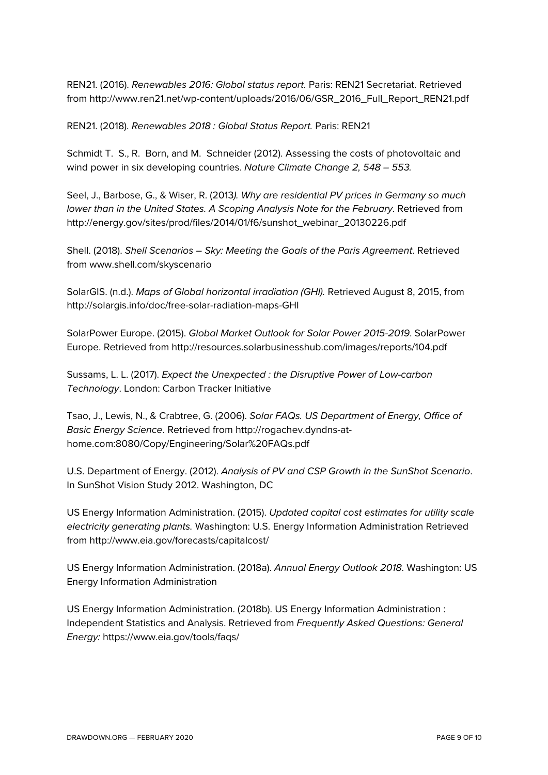REN21. (2016). *Renewables 2016: Global status report.* Paris: REN21 Secretariat. Retrieved from http://www.ren21.net/wp-content/uploads/2016/06/GSR\_2016\_Full\_Report\_REN21.pdf

REN21. (2018). *Renewables 2018 : Global Status Report.* Paris: REN21

Schmidt T. S., R. Born, and M. Schneider (2012). Assessing the costs of photovoltaic and wind power in six developing countries. *Nature Climate Change 2, 548 – 553.*

Seel, J., Barbose, G., & Wiser, R. (2013*). Why are residential PV prices in Germany so much lower than in the United States. A Scoping Analysis Note for the February*. Retrieved from http://energy.gov/sites/prod/files/2014/01/f6/sunshot\_webinar\_20130226.pdf

Shell. (2018). *Shell Scenarios – Sky: Meeting the Goals of the Paris Agreement*. Retrieved from www.shell.com/skyscenario

SolarGIS. (n.d.). *Maps of Global horizontal irradiation (GHI).* Retrieved August 8, 2015, from http://solargis.info/doc/free-solar-radiation-maps-GHI

SolarPower Europe. (2015). *Global Market Outlook for Solar Power 2015-2019*. SolarPower Europe. Retrieved from http://resources.solarbusinesshub.com/images/reports/104.pdf

Sussams, L. L. (2017). *Expect the Unexpected : the Disruptive Power of Low-carbon Technology*. London: Carbon Tracker Initiative

Tsao, J., Lewis, N., & Crabtree, G. (2006). *Solar FAQs. US Department of Energy, Office of Basic Energy Science*. Retrieved from http://rogachev.dyndns-athome.com:8080/Copy/Engineering/Solar%20FAQs.pdf

U.S. Department of Energy. (2012). *Analysis of PV and CSP Growth in the SunShot Scenario*. In SunShot Vision Study 2012. Washington, DC

US Energy Information Administration. (2015). *Updated capital cost estimates for utility scale electricity generating plants.* Washington: U.S. Energy Information Administration Retrieved from http://www.eia.gov/forecasts/capitalcost/

US Energy Information Administration. (2018a). *Annual Energy Outlook 2018*. Washington: US Energy Information Administration

US Energy Information Administration. (2018b). US Energy Information Administration : Independent Statistics and Analysis. Retrieved from *Frequently Asked Questions: General Energy:* https://www.eia.gov/tools/faqs/